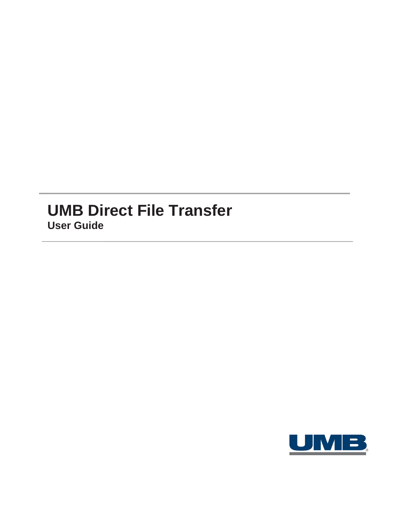# **UMB Direct File Transfer User Guide**

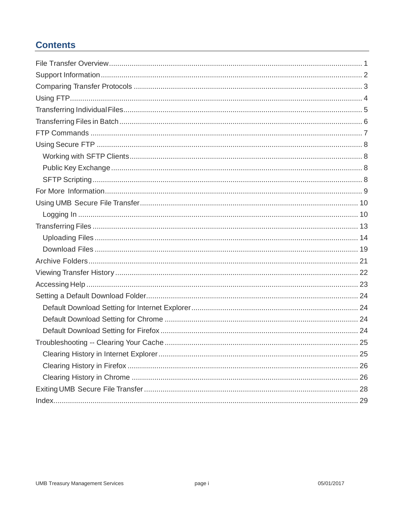## **Contents**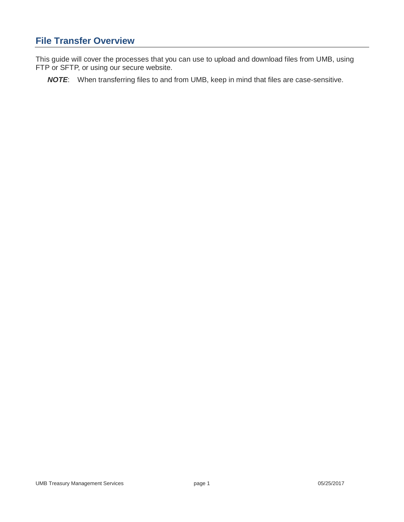## <span id="page-2-0"></span>**File Transfer Overview**

This guide will cover the processes that you can use to upload and download files from UMB, using FTP or SFTP, or using our secure website.

*NOTE*: When transferring files to and from UMB, keep in mind that files are case-sensitive.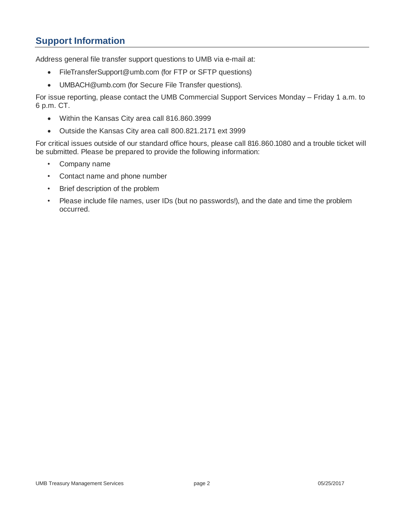## <span id="page-3-0"></span>**Support Information**

Address general file transfer support questions to UMB via e-mail at:

- FileTransferSupport@umb.com (for FTP or SFTP questions)
- UMBACH@umb.com (for Secure File Transfer questions).

For issue reporting, please contact the UMB Commercial Support Services Monday – Friday 1 a.m. to 6 p.m. CT.

- Within the Kansas City area call 816.860.3999
- Outside the Kansas City area call 800.821.2171 ext 3999

For critical issues outside of our standard office hours, please call 816.860.1080 and a trouble ticket will be submitted. Please be prepared to provide the following information:

- Company name
- Contact name and phone number
- Brief description of the problem
- Please include file names, user IDs (but no passwords!), and the date and time the problem occurred.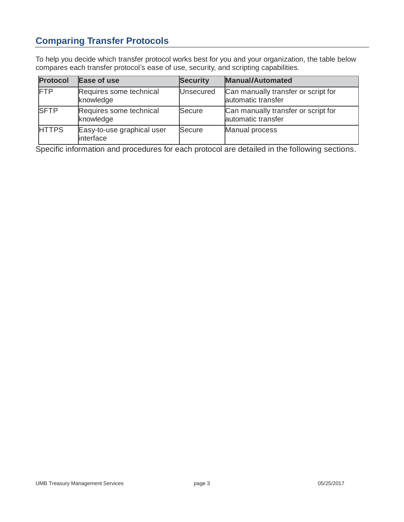## <span id="page-4-0"></span>**Comparing Transfer Protocols**

To help you decide which transfer protocol works best for you and your organization, the table below compares each transfer protocol's ease of use, security, and scripting capabilities.

| <b>Protocol</b> | Ease of use                             | <b>Security</b>  | <b>Manual/Automated</b>                                   |
|-----------------|-----------------------------------------|------------------|-----------------------------------------------------------|
| FTP             | Requires some technical<br>knowledge    | <b>Unsecured</b> | Can manually transfer or script for<br>automatic transfer |
| <b>SFTP</b>     | Requires some technical<br>knowledge    | Secure           | Can manually transfer or script for<br>automatic transfer |
| <b>HTTPS</b>    | Easy-to-use graphical user<br>interface | Secure           | Manual process                                            |

Specific information and procedures for each protocol are detailed in the following sections.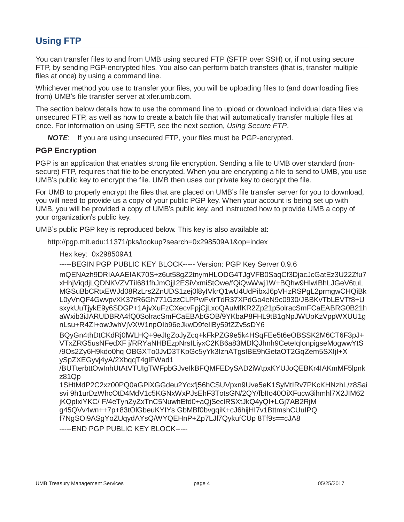## <span id="page-5-0"></span>**Using FTP**

You can transfer files to and from UMB using secured FTP (SFTP over SSH) or, if not using secure FTP, by sending PGP-encrypted files. You also can perform batch transfers (that is, transfer multiple files at once) by using a command line.

Whichever method you use to transfer your files, you will be uploading files to (and downloading files from) UMB's file transfer server at xfer.umb.com.

The section below details how to use the command line to upload or download individual data files via unsecured FTP, as well as how to create a batch file that will automatically transfer multiple files at once. For information on using SFTP, see the next section, *Using Secure FTP*.

*NOTE*: If you are using unsecured FTP, your files must be PGP-encrypted.

### **PGP Encryption**

PGP is an application that enables strong file encryption. Sending a file to UMB over standard (nonsecure) FTP, requires that file to be encrypted. When you are encrypting a file to send to UMB, you use UMB's public key to encrypt the file. UMB then uses our private key to decrypt the file.

For UMB to properly encrypt the files that are placed on UMB's file transfer server for you to download, you will need to provide us a copy of your public PGP key. When your account is being set up with UMB, you will be provided a copy of UMB's public key, and instructed how to provide UMB a copy of your organization's public key.

UMB's public PGP key is reproduced below. This key is also available at:

http://pgp.mit.edu:11371/pks/lookup?search=0x298509A1&op=index

Hex key: 0x298509A1

-----BEGIN PGP PUBLIC KEY BLOCK----- Version: PGP Key Server 0.9.6

mQENAzh9DRIAAAEIAK70S+z6ut58gZ2tnymHLODG4TJgVFB0SaqCf3DjacJcGatEz3U22Zfu7 xHhjViqdjLQDNKVZVTiI681fhJmOjjI2ESiVxmiStOwe/fQiQwWwj1W+BQhw9HlwIBhLJGeV6tuL MGSuBbCRtxEWJd08RzLrs2ZnUDS1zej0l8yIVkrQ1wU4UdPibxJ6pVHzRSPgL2prmgwCHQiBk L0yVnQF4GwvpvXK37tR6Gh771GzzCLPPwFvlrTdR37XPdGo4eN9c0930/JBBKvTbLEVTf8+U sxykUuTjykE9y6SDGP+1AjvXuFzCXecvFpjCjLxoQAuMfKR2Zp21p5olracSmFCaEABRG0B21h aWxib3iJARUDBRA4fQ0SolracSmFCaEBAbGOB/9YKbaP8FHL9tB1gNpJWUpKzVppWXUU1g nLsu+R4ZI+owJwhVjVXW1npOIb96eJkwD9feIlBy59fZZv5sDY6

BQyGn4thDtCKdRj0lWLHQ+9eJIgZoJyZcq+kFkPZG9e5k4HSqFEe5t6eOBSSK2M6CT6F3pJ+ VTxZRG5usNFedXF j/RRYaNHBEzpNrsILiyxC2KB6a83MDlQJhnh9CeteIqlonpigseMogwwYtS /9Os2Zy6H9kdo0hq OBGXTo0JvD3TKpGc5yYk3IznATgsIBE9hGetaOT2GqZem5SXIjI+X ySpZXEGyvj4yA/2XbqqT4glFWad1

/BUTterbttOwInhUtAtVTUIgTWFpbGJveIkBFQMFEDySAD2iWtpxKYUJoQEBKr4IAKmMF5lpnk z81Qp

1SHtMdP2C2xz00PQ0aGPiXGGdeu2Ycxfj56hCSUVpxn9Uve5eK1SyMtIRv7PKcKHNzhL/z8Sai svi 9h1urDzWhcOtD4MdV1c5KGNxWxPJsEhF3TotsGN/2QY/fbIIo40OiXFucw3ihmhl7X2JIM62 jKQpIxiYKC/ F/4eTynZyZxTnC5NuwhEfd0+aQjSeclRSXtJkQ4yQI+LGj7AB2RjM g45QVv4wn++7p+83tOlGbeuKYIYs GbMBf0bvgqiK+cJ6hijHI7v1BttmshCUuIPQ f7NgSOi9ASgYoZUqydAYsQ/WYQEHnP+Zp7LJl7QykufCUp 8Tf9s==cJA8 -----END PGP PUBLIC KEY BLOCK-----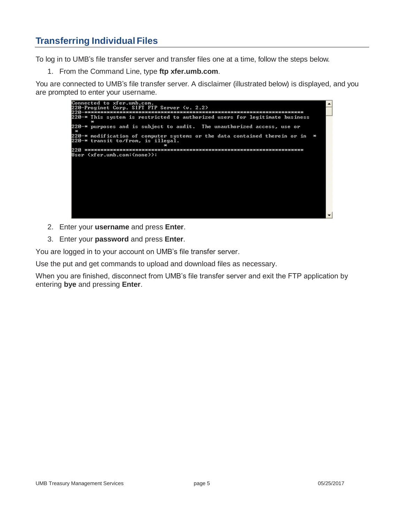## <span id="page-6-0"></span>**Transferring Individual Files**

To log in to UMB's file transfer server and transfer files one at a time, follow the steps below.

1. From the Command Line, type **ftp xfer.umb.com**.

You are connected to UMB's file transfer server. A disclaimer (illustrated below) is displayed, and you are prompted to enter your username.



- 2. Enter your **username** and press **Enter**.
- 3. Enter your **password** and press **Enter**.

You are logged in to your account on UMB's file transfer server.

Use the put and get commands to upload and download files as necessary.

When you are finished, disconnect from UMB's file transfer server and exit the FTP application by entering **bye** and pressing **Enter**.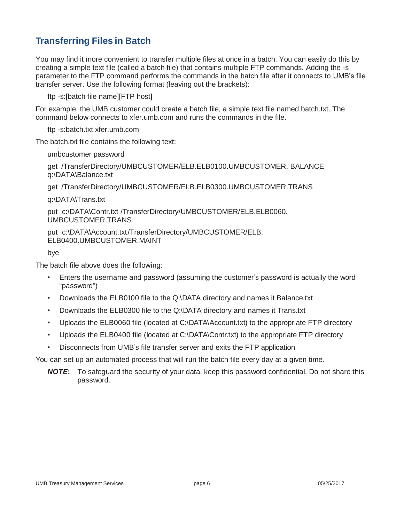## <span id="page-7-0"></span>**Transferring Files in Batch**

You may find it more convenient to transfer multiple files at once in a batch. You can easily do this by creating a simple text file (called a batch file) that contains multiple FTP commands. Adding the -s parameter to the FTP command performs the commands in the batch file after it connects to UMB's file transfer server. Use the following format (leaving out the brackets):

ftp -s:[batch file name][FTP host]

For example, the UMB customer could create a batch file, a simple text file named batch.txt. The command below connects to xfer.umb.com and runs the commands in the file.

ftp -s:batch.txt xfer.umb.com

The batch.txt file contains the following text:

umbcustomer password

get /TransferDirectory/UMBCUSTOMER/ELB.ELB0100.UMBCUSTOMER. BALANCE q:\DATA\Balance.txt

get /TransferDirectory/UMBCUSTOMER/ELB.ELB0300.UMBCUSTOMER.TRANS

q:\DATA\Trans.txt

put c:\DATA\Contr.txt /TransferDirectory/UMBCUSTOMER/ELB.ELB0060. UMBCUSTOMER.TRANS

put c:\DATA\Account.txt/TransferDirectory/UMBCUSTOMER/ELB. ELB0400.UMBCUSTOMER.MAINT

bye

The batch file above does the following:

- Enters the username and password (assuming the customer's password is actually the word "password")
- Downloads the ELB0100 file to the Q:\DATA directory and names it Balance.txt
- Downloads the ELB0300 file to the Q:\DATA directory and names it Trans.txt
- Uploads the ELB0060 file (located at C:\DATA\Account.txt) to the appropriate FTP directory
- Uploads the ELB0400 file (located at C:\DATA\Contr.txt) to the appropriate FTP directory
- Disconnects from UMB's file transfer server and exits the FTP application

You can set up an automated process that will run the batch file every day at a given time.

*NOTE***:** To safeguard the security of your data, keep this password confidential. Do not share this password.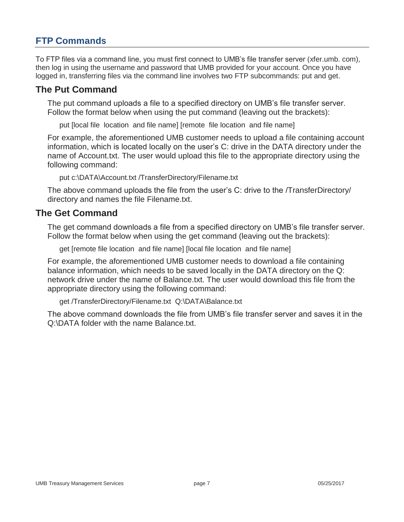## <span id="page-8-0"></span>**FTP Commands**

To FTP files via a command line, you must first connect to UMB's file transfer server (xfer.umb. com), then log in using the username and password that UMB provided for your account. Once you have logged in, transferring files via the command line involves two FTP subcommands: put and get.

### **The Put Command**

The put command uploads a file to a specified directory on UMB's file transfer server. Follow the format below when using the put command (leaving out the brackets):

put [local file location and file name] [remote file location and file name]

For example, the aforementioned UMB customer needs to upload a file containing account information, which is located locally on the user's C: drive in the DATA directory under the name of Account.txt. The user would upload this file to the appropriate directory using the following command:

```
put c:\DATA\Account.txt /TransferDirectory/Filename.txt
```
The above command uploads the file from the user's C: drive to the /TransferDirectory/ directory and names the file Filename.txt.

### **The Get Command**

The get command downloads a file from a specified directory on UMB's file transfer server. Follow the format below when using the get command (leaving out the brackets):

get [remote file location and file name] [local file location and file name]

For example, the aforementioned UMB customer needs to download a file containing balance information, which needs to be saved locally in the DATA directory on the Q: network drive under the name of Balance.txt. The user would download this file from the appropriate directory using the following command:

get /TransferDirectory/Filename.txt Q:\DATA\Balance.txt

The above command downloads the file from UMB's file transfer server and saves it in the Q:\DATA folder with the name Balance.txt.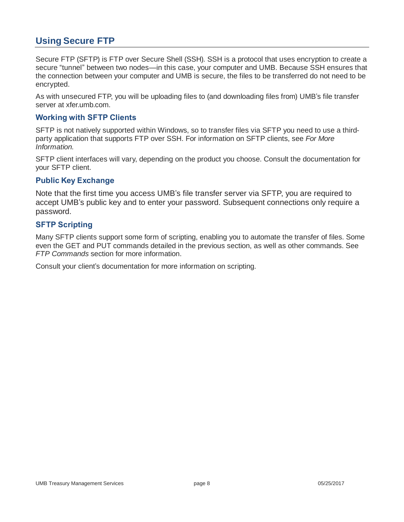## <span id="page-9-0"></span>**Using Secure FTP**

Secure FTP (SFTP) is FTP over Secure Shell (SSH). SSH is a protocol that uses encryption to create a secure "tunnel" between two nodes—in this case, your computer and UMB. Because SSH ensures that the connection between your computer and UMB is secure, the files to be transferred do not need to be encrypted.

As with unsecured FTP, you will be uploading files to (and downloading files from) UMB's file transfer server at xfer.umb.com.

#### <span id="page-9-1"></span>**Working with SFTP Clients**

SFTP is not natively supported within Windows, so to transfer files via SFTP you need to use a thirdparty application that supports FTP over SSH. For information on SFTP clients, see *For More Information*.

SFTP client interfaces will vary, depending on the product you choose. Consult the documentation for your SFTP client.

#### <span id="page-9-2"></span>**Public Key Exchange**

Note that the first time you access UMB's file transfer server via SFTP, you are required to accept UMB's public key and to enter your password. Subsequent connections only require a password.

### <span id="page-9-3"></span>**SFTP Scripting**

Many SFTP clients support some form of scripting, enabling you to automate the transfer of files. Some even the GET and PUT commands detailed in the previous section, as well as other commands. See *FTP Commands* section for more information.

Consult your client's documentation for more information on scripting.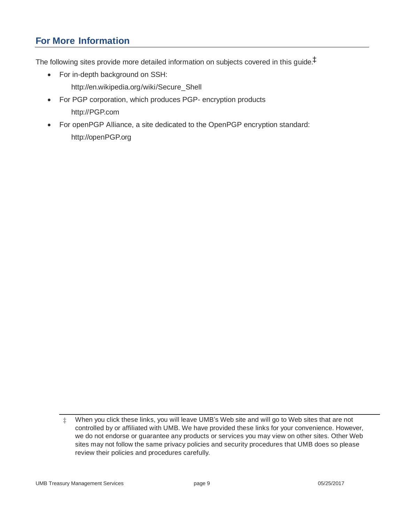## <span id="page-10-0"></span>**For More Information**

The following sites provide more detailed information on subjects covered in this guide. ‡

- For in-depth background on SSH:
	- [http://en.wikipedia.org/wiki/Secure\\_Shell](http://en.wikipedia.org/wiki/Secure_Shell)
- For PGP corporation, which produces PGP- encryption products [http://PGP.com](http://pgp.com/)
- For openPGP Alliance, a site dedicated to the OpenPGP encryption standard: [http://openPGP.org](http://openpgp.org/)

<sup>‡</sup> When you click these links, you will leave UMB's Web site and will go to Web sites that are not controlled by or affiliated with UMB. We have provided these links for your convenience. However, we do not endorse or guarantee any products or services you may view on other sites. Other Web sites may not follow the same privacy policies and security procedures that UMB does so please review their policies and procedures carefully.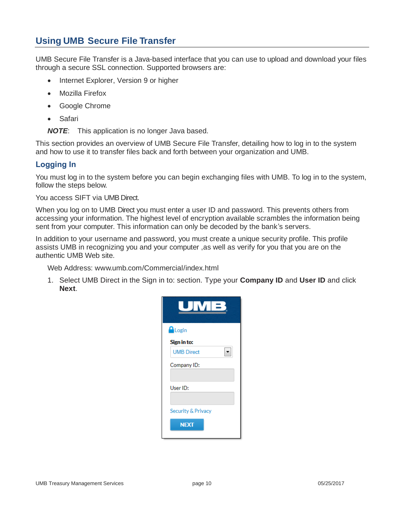## <span id="page-11-0"></span>**Using UMB Secure File Transfer**

UMB Secure File Transfer is a Java-based interface that you can use to upload and download your files through a secure SSL connection. Supported browsers are:

- Internet Explorer, Version 9 or higher
- Mozilla Firefox
- Google Chrome
- Safari

*NOTE*: This application is no longer Java based.

This section provides an overview of UMB Secure File Transfer, detailing how to log in to the system and how to use it to transfer files back and forth between your organization and UMB.

### <span id="page-11-1"></span>**Logging In**

You must log in to the system before you can begin exchanging files with UMB. To log in to the system, follow the steps below.

You access SIFT via UMB Direct.

When you log on to UMB Direct you must enter a user ID and password. This prevents others from accessing your information. The highest level of encryption available scrambles the information being sent from your computer. This information can only be decoded by the bank's servers.

In addition to your username and password, you must create a unique security profile. This profile assists UMB in recognizing you and your computer ,as well as verify for you that you are on the authentic UMB Web site.

Web Address: [www.umb.com/Commercial/index.html](http://www.umb.com/Commercial/index.html)

1. Select UMB Direct in the Sign in to: section. Type your **Company ID** and **User ID** and click **Next**.

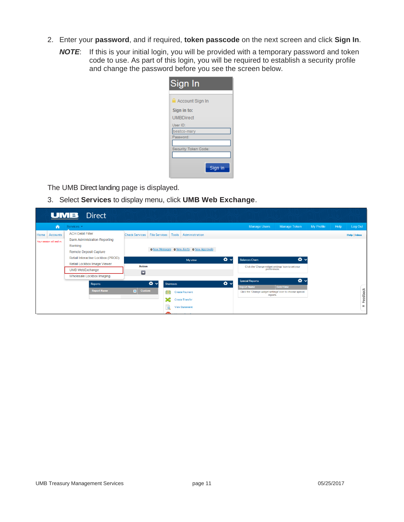- 2. Enter your **password**, and if required, **token passcode** on the next screen and click **Sign In**.
	- *NOTE*: If this is your initial login, you will be provided with a temporary password and token code to use. As part of this login, you will be required to establish a security profile and change the password before you see the screen below.

| Sign In                |
|------------------------|
| <b>Account Sign In</b> |
| Sign in to:            |
| <b>UMBDirect</b>       |
| User ID:               |
| bestco-mary            |
| Password:              |
|                        |
| Security Token Code:   |
|                        |
| Sign in                |

The UMB Direct landing page is displayed.

3. Select **Services** to display menu, click **UMB Web Exchange**.

| UMB                                                  | <b>Direct</b>                                                   |                                     |                                                    |       |                                                                       |                            |            |      |                     |
|------------------------------------------------------|-----------------------------------------------------------------|-------------------------------------|----------------------------------------------------|-------|-----------------------------------------------------------------------|----------------------------|------------|------|---------------------|
| ⋒                                                    | Services -                                                      |                                     |                                                    |       | <b>Manage Users</b>                                                   | Manage Token               | My Profile | Help | Log Out             |
| <b>Accounts</b><br>Home<br>Your session will end in: | <b>ACH Debit Filter</b><br><b>Bank Administration Reporting</b> | <b>Check Services</b> File Services | Tools<br>Administration                            |       |                                                                       |                            |            |      | <b>Help   Inbox</b> |
|                                                      | <b>Banking</b><br><b>Remote Deposit Capture</b>                 |                                     | <b>O New Messages</b> O New Alerts O New Approvals |       |                                                                       |                            |            |      |                     |
|                                                      | Retail Interactive Lockbox (PROD)                               |                                     | My view                                            | ᅕᆞ    | <b>Balances Chart</b>                                                 | ᅕᆞ                         |            |      |                     |
|                                                      | Retail Lockbox Image Viewer<br><b>UMB WebExchange</b>           | <b>Action</b>                       |                                                    |       | Click the 'Change widget settings' icon to set your<br>preferences.   |                            |            |      |                     |
|                                                      | Wholesale Lockbox Imaging                                       | $\blacksquare$                      |                                                    |       |                                                                       |                            |            |      |                     |
|                                                      | Reports                                                         | $\mathbf{\ddot{\alpha}}$ $\sim$     | <b>Shortcuts</b>                                   | iot √ | <b>Special Reports</b><br><b>Report Name</b>                          | $\alpha \sim$<br>Date/Time |            |      |                     |
|                                                      | <b>Report Name</b>                                              | $\blacksquare$<br>Custom            | бB<br><b>Create Payment</b>                        |       | Click the 'Change widget settings' icon to choose special<br>reports. |                            |            |      |                     |
|                                                      |                                                                 |                                     | X<br><b>Create Transfer</b>                        |       |                                                                       |                            |            |      | Feedback            |
|                                                      |                                                                 |                                     | <b>View Statement</b><br>$\bullet$                 |       |                                                                       |                            |            |      | œ                   |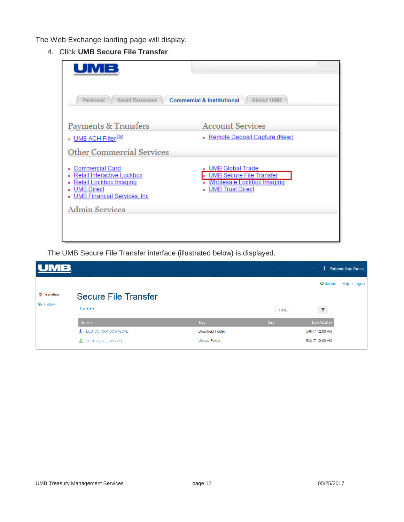The Web Exchange landing page will display.

4. Click **UMB Secure File Transfer**.

| <b>Commercial &amp; Institutional</b><br><b>About UMB</b>                                                   |
|-------------------------------------------------------------------------------------------------------------|
| <b>Account Services</b><br>» Remote Deposit Capture (New)                                                   |
|                                                                                                             |
| UMB Global Trade<br><b>UMB Secure File Transfer</b><br>Wholesale Lockbox Imaging<br><b>UMB Trust Direct</b> |
|                                                                                                             |
|                                                                                                             |
|                                                                                                             |

The UMB Secure File Transfer interface (illustrated below) is displayed.

| M B              |                             |                        |             | 畫<br>T Welcome Mary Watson |
|------------------|-----------------------------|------------------------|-------------|----------------------------|
|                  |                             |                        |             | C Refresh   Help   Logout  |
| Transfers        | <b>Secure File Transfer</b> |                        |             |                            |
| <b>E</b> History | / Transfers                 |                        | Find        | ▼                          |
|                  | Name $\sim$                 | Type                   | <b>Size</b> | Date Modified              |
|                  | BESTCO_ARP_DOWNLOAD<br>盠    | <b>Download Folder</b> |             | 5/8/17 12:00 AM            |
|                  | 盒<br>BESTCO_EFT_UPLOAD      | <b>Upload Folder</b>   |             | 5/8/17 12:00 AM            |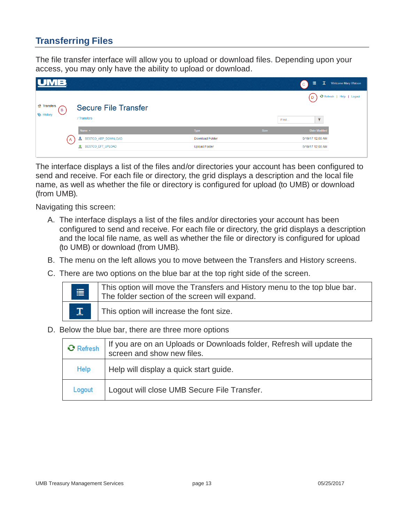## <span id="page-14-0"></span>**Transferring Files**

The file transfer interface will allow you to upload or download files. Depending upon your access, you may only have the ability to upload or download.

|                         |                             |                        |             | $\mathbf{T}$<br>廣<br>Welcome Mary Watson<br>$^{\circ}$ C $^{-}$ |
|-------------------------|-----------------------------|------------------------|-------------|-----------------------------------------------------------------|
| <b>Transfers</b><br>B   | <b>Secure File Transfer</b> |                        |             | C Refresh   Help   Logout<br>(D)                                |
| <b>E</b> History        | / Transfers                 |                        | Find        | $\overline{\mathbf{v}}$                                         |
|                         | Name $\sim$                 | Type                   | <b>Size</b> | <b>Date Modified</b>                                            |
| $\overline{\mathsf{A}}$ | BESTCO_ARP_DOWNLOAD<br>荅    | <b>Download Folder</b> |             | 5/10/17 12:00 AM                                                |
|                         | <b>1</b> BESTCO_EFT_UPLOAD  | <b>Upload Folder</b>   |             | 5/10/17 12:00 AM                                                |

The interface displays a list of the files and/or directories your account has been configured to send and receive. For each file or directory, the grid displays a description and the local file name, as well as whether the file or directory is configured for upload (to UMB) or download (from UMB).

Navigating this screen:

- A. The interface displays a list of the files and/or directories your account has been configured to send and receive. For each file or directory, the grid displays a description and the local file name, as well as whether the file or directory is configured for upload (to UMB) or download (from UMB).
- B. The menu on the left allows you to move between the Transfers and History screens.
- C. There are two options on the blue bar at the top right side of the screen.

| $\equiv$           | This option will move the Transfers and History menu to the top blue bar.<br>The folder section of the screen will expand. |
|--------------------|----------------------------------------------------------------------------------------------------------------------------|
| $\mathbf{T}_\cdot$ | This option will increase the font size.                                                                                   |

D. Below the blue bar, there are three more options

| <b>C</b> Refresh | If you are on an Uploads or Downloads folder, Refresh will update the<br>screen and show new files. |
|------------------|-----------------------------------------------------------------------------------------------------|
| Help             | Help will display a quick start guide.                                                              |
| Logout           | Logout will close UMB Secure File Transfer.                                                         |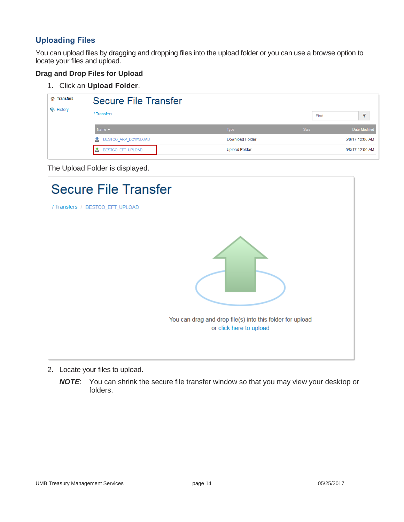### <span id="page-15-0"></span>**Uploading Files**

You can upload files by dragging and dropping files into the upload folder or you can use a browse option to locate your files and upload.

### **Drag and Drop Files for Upload**

1. Click an **Upload Folder**.

| Transfers        | <b>Secure File Transfer</b> |                        |             |                 |
|------------------|-----------------------------|------------------------|-------------|-----------------|
| <b>E</b> History | / Transfers                 |                        | Find        | $\,$            |
|                  | Name $\sim$                 | Type                   | <b>Size</b> | Date Modified   |
|                  | BESTCO ARP DOWNLOAD<br>┻    | <b>Download Folder</b> |             | 5/8/17 12:00 AM |
|                  | BESTCO_EFT_UPLOAD           | <b>Upload Folder</b>   |             | 5/8/17 12:00 AM |

The Upload Folder is displayed.



- 2. Locate your files to upload.
	- *NOTE*: You can shrink the secure file transfer window so that you may view your desktop or folders.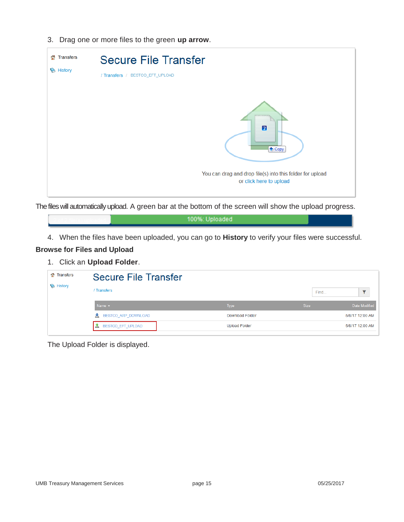3. Drag one or more files to the green **up arrow**.



The files will automatically upload. A green bar at the bottom of the screen will show the upload progress.

100%: Uploaded

4. When the files have been uploaded, you can go to **History** to verify your files were successful.

#### **Browse for Files and Upload**

1. Click an **Upload Folder**.

| Transfers<br>a.  | <b>Secure File Transfer</b> |                        |             |                 |
|------------------|-----------------------------|------------------------|-------------|-----------------|
| <b>E</b> History | / Transfers                 |                        | Find        | $=$             |
|                  | Name $\sim$                 | Type                   | <b>Size</b> | Date Modified   |
|                  | BESTCO ARP DOWNLOAD<br>盠    | <b>Download Folder</b> |             | 5/8/17 12:00 AM |
|                  | BESTCO_EFT_UPLOAD           | <b>Upload Folder</b>   |             | 5/8/17 12:00 AM |

The Upload Folder is displayed.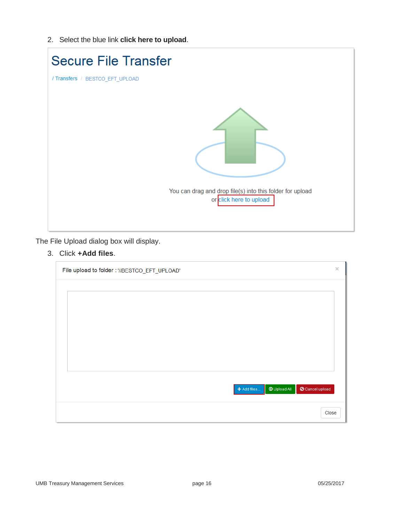2. Select the blue link **click here to upload**.

| <b>Secure File Transfer</b>                                                          |
|--------------------------------------------------------------------------------------|
| / Transfers / BESTCO_EFT_UPLOAD                                                      |
| You can drag and drop file(s) into this folder for upload<br>or click here to upload |

The File Upload dialog box will display.

3. Click **+Add files**.

 $\overline{\phantom{a}}$ 

| File upload to folder: '//BESTCO_EFT_UPLOAD'         | $\pmb{\times}$ |
|------------------------------------------------------|----------------|
|                                                      |                |
|                                                      |                |
|                                                      |                |
|                                                      |                |
|                                                      |                |
|                                                      |                |
|                                                      |                |
| $\odot$ Upload All<br>O Cancel upload<br>+ Add files |                |
|                                                      |                |
| Close                                                |                |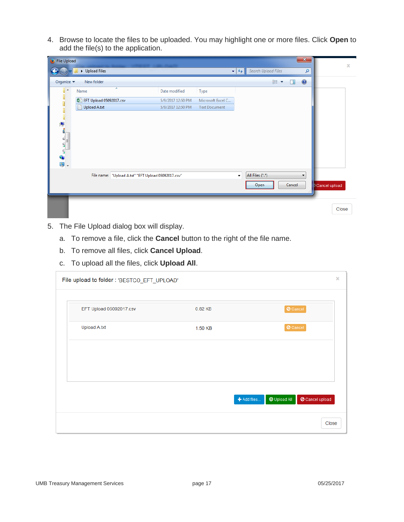4. Browse to locate the files to be uploaded. You may highlight one or more files. Click **Open** to add the file(s) to the application.

| File Upload      |                           |                                                     |                   |                      |                           |                     |        | $\mathbf{x}$ |               | $\pmb{\times}$ |
|------------------|---------------------------|-----------------------------------------------------|-------------------|----------------------|---------------------------|---------------------|--------|--------------|---------------|----------------|
|                  | Upload Files              |                                                     |                   |                      | $\mathbf{v}$ $\mathbf{t}$ | Search Upload Files |        | م            |               |                |
| Organize v       | New folder                |                                                     |                   |                      |                           | ⊪ ▼                 | 団      | $\odot$      |               |                |
| $\blacktriangle$ | Name                      | ×                                                   | Date modified     | Type                 |                           |                     |        |              |               |                |
|                  | 图 EFT Upload 05092017.csv |                                                     | 5/9/2017 12:50 PM | Microsoft Excel C    |                           |                     |        |              |               |                |
|                  | Upload A.txt              |                                                     | 5/9/2017 12:50 PM | <b>Text Document</b> |                           |                     |        |              |               |                |
|                  |                           |                                                     |                   |                      |                           |                     |        |              |               |                |
|                  |                           |                                                     |                   |                      |                           |                     |        |              |               |                |
|                  |                           |                                                     |                   |                      |                           |                     |        |              |               |                |
| F                |                           |                                                     |                   |                      |                           |                     |        |              |               |                |
|                  |                           |                                                     |                   |                      |                           |                     |        |              |               |                |
|                  |                           |                                                     |                   |                      |                           |                     |        |              |               |                |
|                  |                           |                                                     |                   |                      |                           |                     |        |              |               |                |
|                  |                           | File name: "Upload A.txt" "EFT Upload 05092017.csv" |                   |                      | $\bar{\mathbf{v}}$        | All Files (*.*)     |        | ۰            |               |                |
|                  |                           |                                                     |                   |                      |                           | Open                | Cancel |              | Cancel upload |                |
|                  |                           |                                                     |                   |                      |                           |                     |        |              |               |                |
|                  |                           |                                                     |                   |                      |                           |                     |        |              |               |                |
|                  |                           |                                                     |                   |                      |                           |                     |        |              | Close         |                |
| 嚜<br>티           |                           |                                                     |                   |                      |                           |                     |        |              |               |                |

- 5. The File Upload dialog box will display.
	- a. To remove a file, click the **Cancel** button to the right of the file name.
	- b. To remove all files, click **Cancel Upload**.
	- c. To upload all the files, click **Upload All**.

| File upload to folder : 'BESTCO_EFT_UPLOAD' |         | ×                                                          |
|---------------------------------------------|---------|------------------------------------------------------------|
| EFT Upload 05092017.csv                     | 0.82 KB | O Cancel                                                   |
| Upload A.txt                                | 1.50 KB | O Cancel                                                   |
|                                             |         |                                                            |
|                                             |         |                                                            |
|                                             |         | $\bm{\Theta}$ Upload All<br>O Cancel upload<br>+ Add files |
|                                             |         | Close                                                      |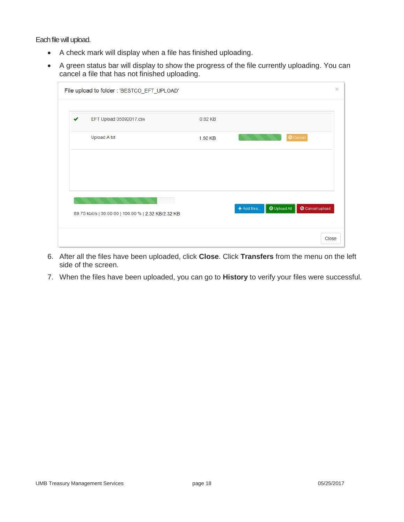Each file will upload.

- A check mark will display when a file has finished uploading.
- A green status bar will display to show the progress of the file currently uploading. You can cancel a file that has not finished uploading.

| File upload to folder : 'BESTCO_EFT_UPLOAD'          |         |                                    |                 |
|------------------------------------------------------|---------|------------------------------------|-----------------|
| EFT Upload 05092017.csv                              | 0.82 KB |                                    |                 |
| Upload A.txt                                         | 1.50 KB |                                    | O Cancel        |
|                                                      |         |                                    |                 |
|                                                      |         |                                    |                 |
|                                                      |         |                                    |                 |
| 89.75 kbit/s   00:00:00   100.00 %   2.32 KB/2.32 KB |         | <b>D</b> Upload All<br>+ Add files | O Cancel upload |
|                                                      |         |                                    |                 |
|                                                      |         |                                    | Close           |

- 6. After all the files have been uploaded, click **Close**. Click **Transfers** from the menu on the left side of the screen.
- 7. When the files have been uploaded, you can go to **History** to verify your files were successful.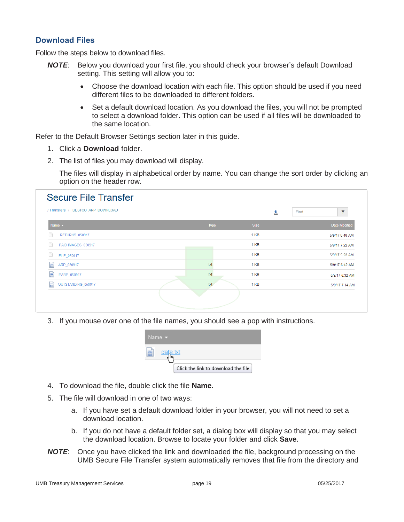### <span id="page-20-0"></span>**Download Files**

Follow the steps below to download files.

- *NOTE*: Below you download your first file, you should check your browser's default Download setting. This setting will allow you to:
	- Choose the download location with each file. This option should be used if you need different files to be downloaded to different folders.
	- Set a default download location. As you download the files, you will not be prompted to select a download folder. This option can be used if all files will be downloaded to the same location.

Refer to the Default Browser Settings section later in this guide.

- 1. Click a **Download** folder.
- 2. The list of files you may download will display.

The files will display in alphabetical order by name. You can change the sort order by clicking an option on the header row.

| / Transfers / BESTCO ARP DOWNLOAD |      | 齿    | Find | $\overline{\mathbf{Y}}$ |
|-----------------------------------|------|------|------|-------------------------|
| Name $\sim$                       | Type | Size |      | <b>Date Modified</b>    |
| <b>RETURNS_050917</b>             |      | 1 KB |      | 5/9/17 8:48 AM          |
| PAID IMAGES_050917                |      | 1 KB |      | 5/9/17 7:22 AM          |
| FILE 050917                       |      | 1 KB |      | 5/9/17 5:22 AM          |
| $\frac{1}{187}$<br>ARP_050917     | txt  | 1 KB |      | 5/9/17 6:42 AM          |
| $\frac{1}{187}$<br>PARP_050917    | txt  | 1 KB |      | 5/9/17 6:32 AM          |
| 扁<br>OUTSTANDING_050917           | txt  | 1 KB |      | 5/9/17 7:14 AM          |

3. If you mouse over one of the file names, you should see a pop with instructions.

|                | Name <b>v</b>                       |
|----------------|-------------------------------------|
| ≡<br><b>BT</b> | date.bt                             |
|                | Click the link to download the file |

- 4. To download the file, double click the file **Name**.
- 5. The file will download in one of two ways:
	- a. If you have set a default download folder in your browser, you will not need to set a download location.
	- b. If you do not have a default folder set, a dialog box will display so that you may select the download location. Browse to locate your folder and click **Save**.
- *NOTE*: Once you have clicked the link and downloaded the file, background processing on the UMB Secure File Transfer system automatically removes that file from the directory and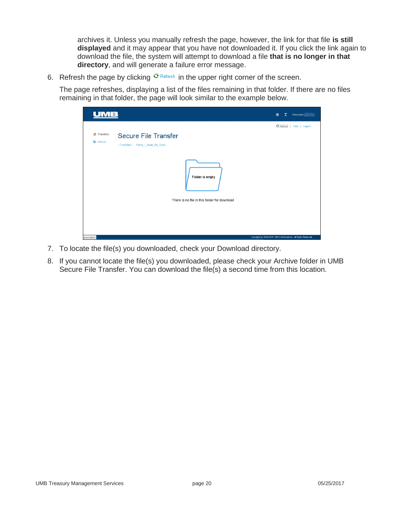archives it. Unless you manually refresh the page, however, the link for that file **is still displayed** and it may appear that you have not downloaded it. If you click the link again to download the file, the system will attempt to download a file **that is no longer in that directory**, and will generate a failure error message.

6. Refresh the page by clicking  $\mathbf{e}$  Refresh in the upper right corner of the screen.

The page refreshes, displaying a list of the files remaining in that folder. If there are no files remaining in that folder, the page will look similar to the example below.

|                                                                                      | $\mathbf{T}$<br>目<br>Welcome                                      |
|--------------------------------------------------------------------------------------|-------------------------------------------------------------------|
| Transfers<br>Secure File Transfer<br>History<br>/ Transfers / Rand_-_Issue_file_Conf | C Refresh   Help   Logout                                         |
| Folder is empty                                                                      |                                                                   |
| There is no file in this folder for download                                         |                                                                   |
| javascript://                                                                        | Copyright (c) 2003-2016. TIBCO Software Inc. All Rights Reserved. |

- 7. To locate the file(s) you downloaded, check your Download directory.
- 8. If you cannot locate the file(s) you downloaded, please check your Archive folder in UMB Secure File Transfer. You can download the file(s) a second time from this location.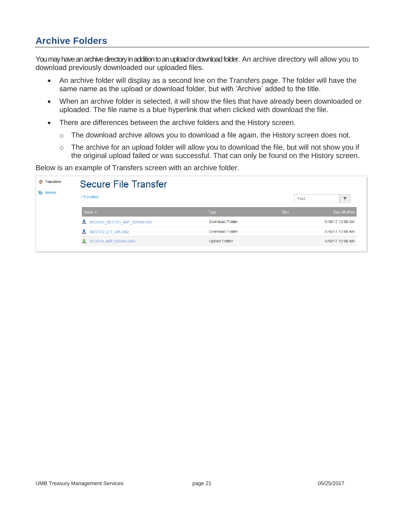## <span id="page-22-0"></span>**Archive Folders**

You may have an archive directory in addition to an upload or download folder. An archive directory will allow you to download previously downloaded our uploaded files.

- An archive folder will display as a second line on the Transfers page. The folder will have the same name as the upload or download folder, but with 'Archive' added to the title.
- When an archive folder is selected, it will show the files that have already been downloaded or uploaded. The file name is a blue hyperlink that when clicked with download the file.
- There are differences between the archive folders and the History screen.
	- $\circ$  The download archive allows you to download a file again, the History screen does not.
	- $\circ$  The archive for an upload folder will allow you to download the file, but will not show you if the original upload failed or was successful. That can only be found on the History screen.

Below is an example of Transfers screen with an archive folder.

| Transfers<br><b>Section</b> | <b>Secure File Transfer</b>  |                        |             |                         |
|-----------------------------|------------------------------|------------------------|-------------|-------------------------|
| History                     | / Transfers                  |                        | Find        | $\overline{\mathbf{Y}}$ |
|                             | Name $\sim$                  | <b>Type</b>            | <b>Size</b> | Date Modified           |
|                             | ARCHIVE BESTCO ARP DOWNLOAD  | <b>Download Folder</b> |             | 5/16/17 12:00 AM        |
|                             | <b>X</b> BESTCO EFT UPLOAD   | <b>Download Folder</b> |             | 5/16/17 12:00 AM        |
|                             | <b>1</b> BESTCO ARP DOWNLOAD | <b>Upload Folder</b>   |             | 5/16/17 12:00 AM        |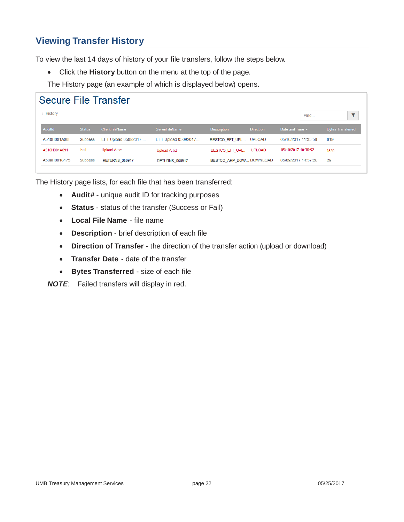## <span id="page-23-0"></span>**Viewing Transfer History**

To view the last 14 days of history of your file transfers, follow the steps below.

Click the **History** button on the menu at the top of the page.

The History page (an example of which is displayed below) opens.

| <b>History</b><br>Find<br><b>AuditId</b><br><b>ClientFileName</b><br><b>ServerFileName</b><br><b>Description</b><br><b>Status</b><br><b>Direction</b><br>Date and Time $\blacktriangleright$<br>819<br>A510H001A08F<br>EFT Upload 05092017<br>05/10/2017 11:35:58<br>EFT Upload 05092017<br>BESTCO EFT UPL<br><b>UPLOAD</b><br>Success<br>Fail<br>Upload A.txt<br>05/10/2017 10:36:52<br>A510H001A091<br><b>UPLOAD</b><br>BESTCO EFT UPL<br>Upload A.txt<br>1520<br>29<br>A509H0016175<br>05/09/2017 14:37:26<br>BESTCO ARP DOW DOWNLOAD<br><b>Success</b><br>RETURNS 050917<br><b>RETURNS 050917</b> | <b>Secure File Transfer</b> |  |  |  |  |  |  |                          |
|-------------------------------------------------------------------------------------------------------------------------------------------------------------------------------------------------------------------------------------------------------------------------------------------------------------------------------------------------------------------------------------------------------------------------------------------------------------------------------------------------------------------------------------------------------------------------------------------------------|-----------------------------|--|--|--|--|--|--|--------------------------|
|                                                                                                                                                                                                                                                                                                                                                                                                                                                                                                                                                                                                       |                             |  |  |  |  |  |  | $\overline{\mathbf{Y}}$  |
|                                                                                                                                                                                                                                                                                                                                                                                                                                                                                                                                                                                                       |                             |  |  |  |  |  |  | <b>Bytes Transferred</b> |
|                                                                                                                                                                                                                                                                                                                                                                                                                                                                                                                                                                                                       |                             |  |  |  |  |  |  |                          |
|                                                                                                                                                                                                                                                                                                                                                                                                                                                                                                                                                                                                       |                             |  |  |  |  |  |  |                          |
|                                                                                                                                                                                                                                                                                                                                                                                                                                                                                                                                                                                                       |                             |  |  |  |  |  |  |                          |

The History page lists, for each file that has been transferred:

- **Audit#** unique audit ID for tracking purposes
- **Status** status of the transfer (Success or Fail)
- **Local File Name** file name
- **Description** brief description of each file
- **Direction of Transfer** the direction of the transfer action (upload or download)
- **Transfer Date** date of the transfer
- **Bytes Transferred** size of each file

*NOTE*: Failed transfers will display in red.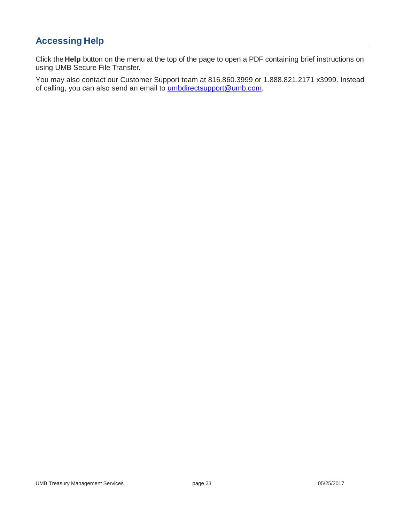## <span id="page-24-0"></span>**Accessing Help**

Click the **Help** button on the menu at the top of the page to open a PDF containing brief instructions on using UMB Secure File Transfer.

You may also contact our Customer Support team at 816.860.3999 or 1.888.821.2171 x3999. Instead of calling, you can also send an email to *umbdirectsupport@umb.com*.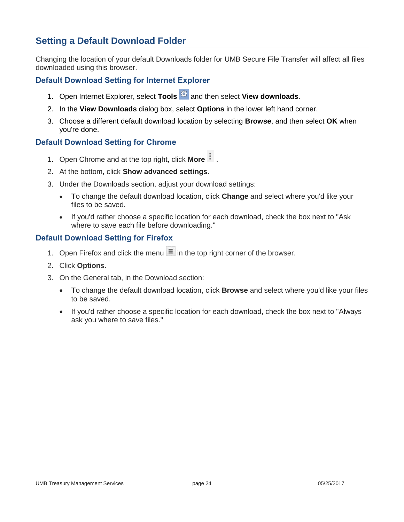## <span id="page-25-0"></span>**Setting a Default Download Folder**

Changing the location of your default Downloads folder for UMB Secure File Transfer will affect all files downloaded using this browser.

### <span id="page-25-1"></span>**Default Download Setting for Internet Explorer**

- 1. Open Internet Explorer, select **Tools** and then select **View downloads**.
- 2. In the **View Downloads** dialog box, select **Options** in the lower left hand corner.
- 3. Choose a different default download location by selecting **Browse**, and then select **OK** when you're done.

### <span id="page-25-2"></span>**Default Download Setting for Chrome**

- 1. Open Chrome and at the top right, click **More** .
- 2. At the bottom, click **Show advanced settings**.
- 3. Under the Downloads section, adjust your download settings:
	- To change the default download location, click **Change** and select where you'd like your files to be saved.
	- If you'd rather choose a specific location for each download, check the box next to "Ask where to save each file before downloading."

### <span id="page-25-3"></span>**Default Download Setting for Firefox**

- 1. Open Firefox and click the menu  $\equiv$  in the top right corner of the browser.
- 2. Click **Options**.
- 3. On the General tab, in the Download section:
	- To change the default download location, click **Browse** and select where you'd like your files to be saved.
	- If you'd rather choose a specific location for each download, check the box next to "Always ask you where to save files."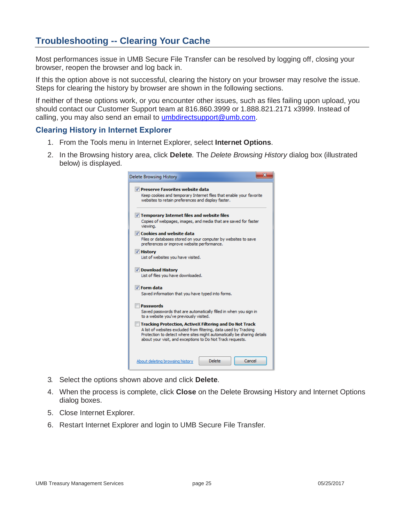## <span id="page-26-0"></span>**Troubleshooting -- Clearing Your Cache**

Most performances issue in UMB Secure File Transfer can be resolved by logging off, closing your browser, reopen the browser and log back in.

If this the option above is not successful, clearing the history on your browser may resolve the issue. Steps for clearing the history by browser are shown in the following sections.

If neither of these options work, or you encounter other issues, such as files failing upon upload, you should contact our Customer Support team at 816.860.3999 or 1.888.821.2171 x3999. Instead of calling, you may also send an email to [umbdirectsupport@umb.com.](mailto:umbdirectsupport@umb.com)

#### <span id="page-26-1"></span>**Clearing History in Internet Explorer**

- 1. From the Tools menu in Internet Explorer, select **Internet Options**.
- 2. In the Browsing history area, click **Delete**. The *Delete Browsing History* dialog box (illustrated below) is displayed.

| Delete Browsing History                                                                                                                                                                                                                                                      |
|------------------------------------------------------------------------------------------------------------------------------------------------------------------------------------------------------------------------------------------------------------------------------|
| V Preserve Favorites website data<br>Keep cookies and temporary Internet files that enable your favorite<br>websites to retain preferences and display faster.                                                                                                               |
| $\triangledown$ Temporary Internet files and website files<br>Copies of webpages, images, and media that are saved for faster<br>viewing.                                                                                                                                    |
| $\triangledown$ Cookies and website data<br>Files or databases stored on your computer by websites to save<br>preferences or improve website performance.                                                                                                                    |
| <b>V</b> History<br>List of websites you have visited.                                                                                                                                                                                                                       |
| Download History<br>List of files you have downloaded.                                                                                                                                                                                                                       |
| $\nabla$ Form data<br>Saved information that you have typed into forms.                                                                                                                                                                                                      |
| <b>Passwords</b><br>Saved passwords that are automatically filled in when you sign in<br>to a website you've previously visited.                                                                                                                                             |
| <b>Tracking Protection, ActiveX Filtering and Do Not Track</b><br>A list of websites excluded from filtering, data used by Tracking<br>Protection to detect where sites might automatically be sharing details<br>about your visit, and exceptions to Do Not Track requests. |
| Cancel<br><b>Delete</b><br>About deleting browsing history                                                                                                                                                                                                                   |

- 3. Select the options shown above and click **Delete**.
- 4. When the process is complete, click **Close** on the Delete Browsing History and Internet Options dialog boxes.
- 5. Close Internet Explorer.
- 6. Restart Internet Explorer and login to UMB Secure File Transfer.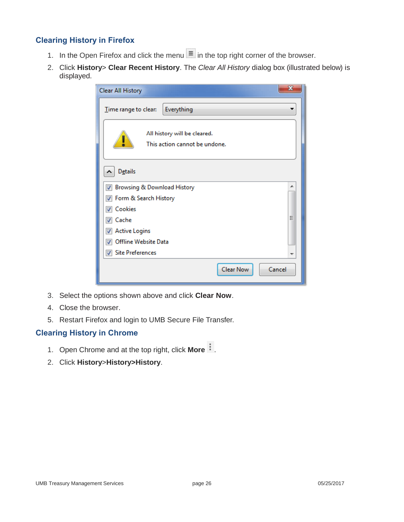### <span id="page-27-0"></span>**Clearing History in Firefox**

- 1. In the Open Firefox and click the menu  $\equiv$  in the top right corner of the browser.
- 2. Click **History**> **Clear Recent History**. The *Clear All History* dialog box (illustrated below) is displayed.

| x<br><b>Clear All History</b>                                 |
|---------------------------------------------------------------|
| Everything<br>Time range to clear:                            |
| All history will be cleared.<br>This action cannot be undone. |
| <b>Details</b><br>ㅅ                                           |
| Browsing & Download History<br>∸<br>✓                         |
| Form & Search History                                         |
| Cookies                                                       |
| Ξ<br>Cache                                                    |
| <b>Active Logins</b>                                          |
| Offline Website Data                                          |
| <b>Site Preferences</b><br>$\overline{\mathcal{L}}$           |
| Clear Now<br>Cancel                                           |

- 3. Select the options shown above and click **Clear Now**.
- 4. Close the browser.
- 5. Restart Firefox and login to UMB Secure File Transfer.

### <span id="page-27-1"></span>**Clearing History in Chrome**

- 1. Open Chrome and at the top right, click **More** .
- 2. Click **History**>**History>History**.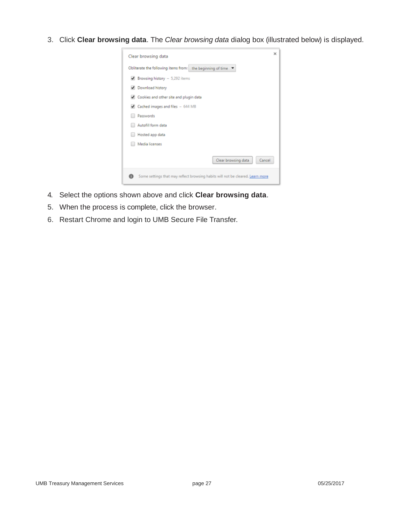3. Click **Clear browsing data**. The *Clear browsing data* dialog box (illustrated below) is displayed.



- 4. Select the options shown above and click **Clear browsing data**.
- 5. When the process is complete, click the browser.
- 6. Restart Chrome and login to UMB Secure File Transfer.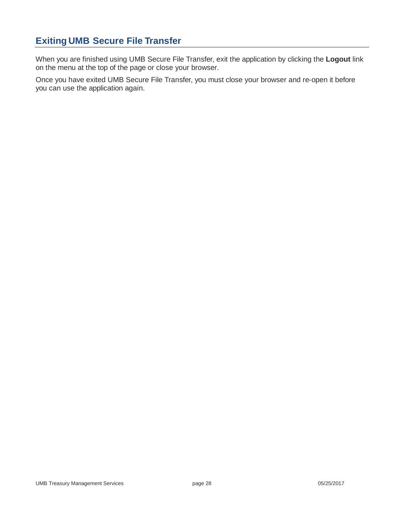## <span id="page-29-0"></span>**Exiting UMB Secure File Transfer**

When you are finished using UMB Secure File Transfer, exit the application by clicking the **Logout** link on the menu at the top of the page or close your browser.

Once you have exited UMB Secure File Transfer, you must close your browser and re-open it before you can use the application again.